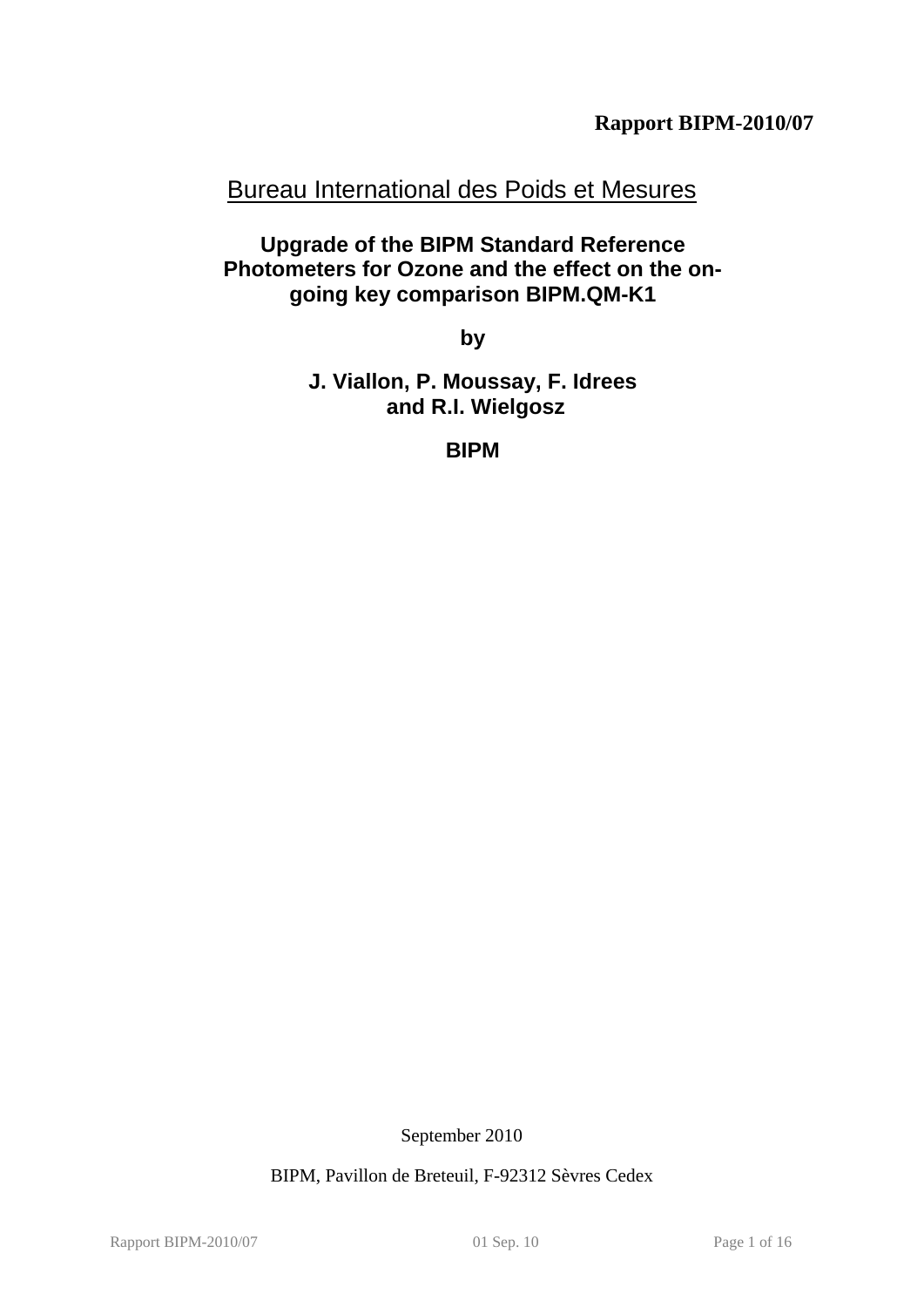**Rapport BIPM-2010/07** 

# Bureau International des Poids et Mesures

**Upgrade of the BIPM Standard Reference Photometers for Ozone and the effect on the ongoing key comparison BIPM.QM-K1** 

**by** 

**J. Viallon, P. Moussay, F. Idrees and R.I. Wielgosz** 

**BIPM** 

September 2010

BIPM, Pavillon de Breteuil, F-92312 Sèvres Cedex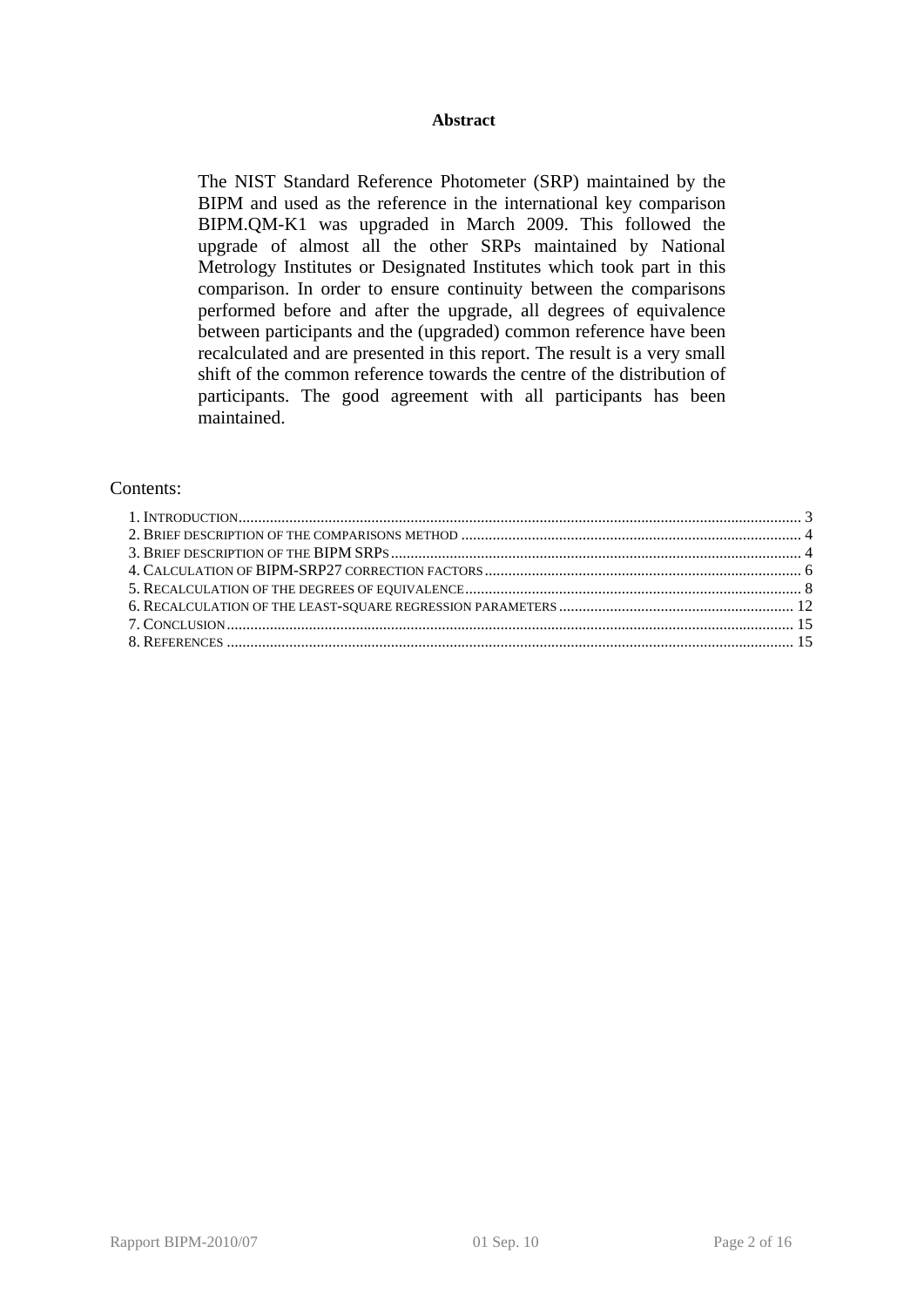#### **Abstract**

The NIST Standard Reference Photometer (SRP) maintained by the BIPM and used as the reference in the international key comparison BIPM.QM-K1 was upgraded in March 2009. This followed the upgrade of almost all the other SRPs maintained by National Metrology Institutes or Designated Institutes which took part in this comparison. In order to ensure continuity between the comparisons performed before and after the upgrade, all degrees of equivalence between participants and the (upgraded) common reference have been recalculated and are presented in this report. The result is a very small shift of the common reference towards the centre of the distribution of participants. The good agreement with all participants has been maintained.

#### Contents: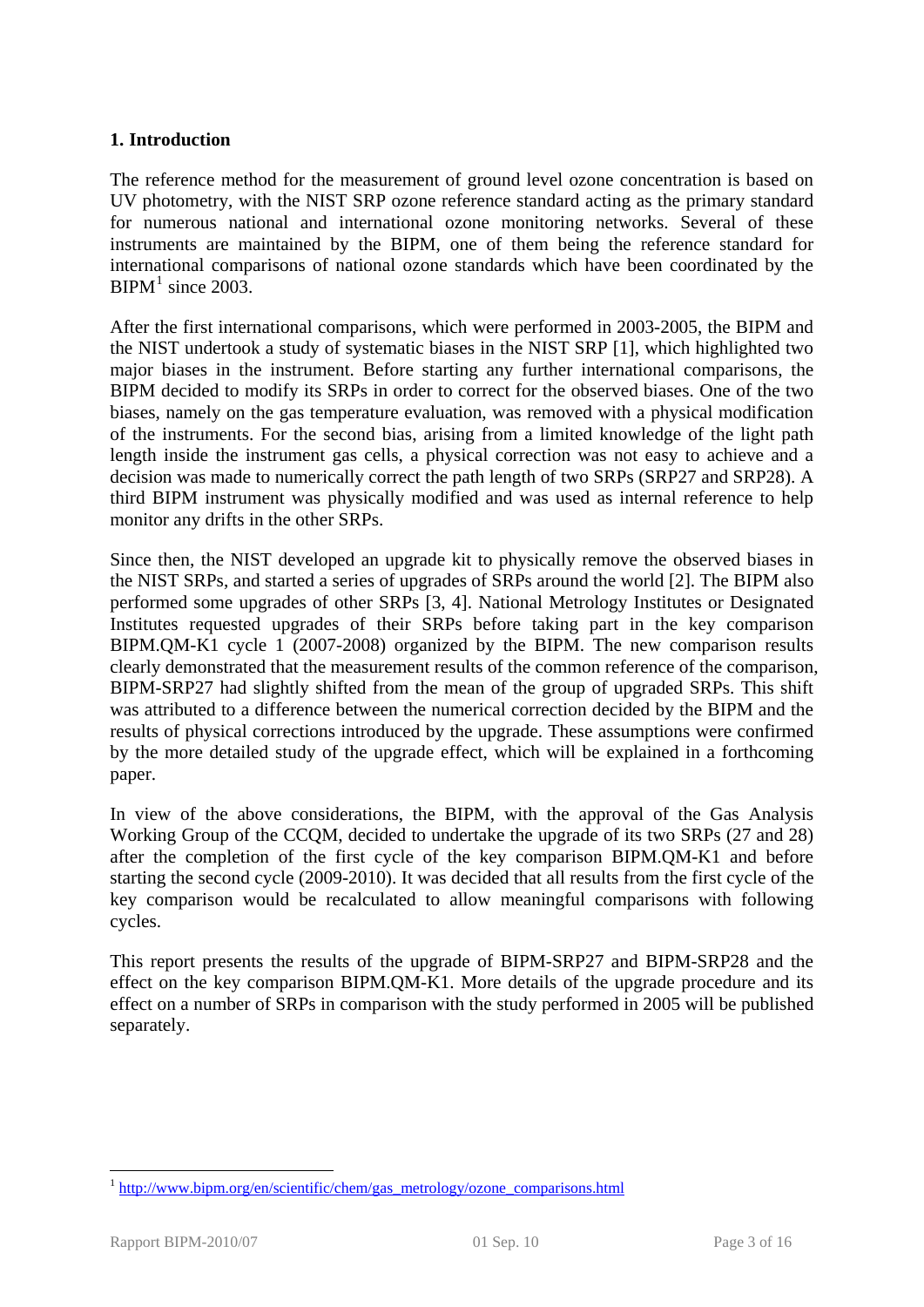# <span id="page-2-0"></span>**1. Introduction**

The reference method for the measurement of ground level ozone concentration is based on UV photometry, with the NIST SRP ozone reference standard acting as the primary standard for numerous national and international ozone monitoring networks. Several of these instruments are maintained by the BIPM, one of them being the reference standard for international comparisons of national ozone standards which have been coordinated by the  $BIPM<sup>1</sup>$  $BIPM<sup>1</sup>$  $BIPM<sup>1</sup>$  since 2003.

After the first international comparisons, which were performed in 2003-2005, the BIPM and the NIST undertook a study of systematic biases in the NIST SRP [1], which highlighted two major biases in the instrument. Before starting any further international comparisons, the BIPM decided to modify its SRPs in order to correct for the observed biases. One of the two biases, namely on the gas temperature evaluation, was removed with a physical modification of the instruments. For the second bias, arising from a limited knowledge of the light path length inside the instrument gas cells, a physical correction was not easy to achieve and a decision was made to numerically correct the path length of two SRPs (SRP27 and SRP28). A third BIPM instrument was physically modified and was used as internal reference to help monitor any drifts in the other SRPs.

Since then, the NIST developed an upgrade kit to physically remove the observed biases in the NIST SRPs, and started a series of upgrades of SRPs around the world [2]. The BIPM also performed some upgrades of other SRPs [3, 4]. National Metrology Institutes or Designated Institutes requested upgrades of their SRPs before taking part in the key comparison BIPM.QM-K1 cycle 1 (2007-2008) organized by the BIPM. The new comparison results clearly demonstrated that the measurement results of the common reference of the comparison, BIPM-SRP27 had slightly shifted from the mean of the group of upgraded SRPs. This shift was attributed to a difference between the numerical correction decided by the BIPM and the results of physical corrections introduced by the upgrade. These assumptions were confirmed by the more detailed study of the upgrade effect, which will be explained in a forthcoming paper.

In view of the above considerations, the BIPM, with the approval of the Gas Analysis Working Group of the CCQM, decided to undertake the upgrade of its two SRPs (27 and 28) after the completion of the first cycle of the key comparison BIPM.QM-K1 and before starting the second cycle (2009-2010). It was decided that all results from the first cycle of the key comparison would be recalculated to allow meaningful comparisons with following cycles.

This report presents the results of the upgrade of BIPM-SRP27 and BIPM-SRP28 and the effect on the key comparison BIPM.QM-K1. More details of the upgrade procedure and its effect on a number of SRPs in comparison with the study performed in 2005 will be published separately.

1

<span id="page-2-1"></span> $1$  [http://www.bipm.org/en/scientific/chem/gas\\_metrology/ozone\\_comparisons.html](http://www.bipm.org/en/scientific/chem/gas_metrology/ozone_comparisons.html)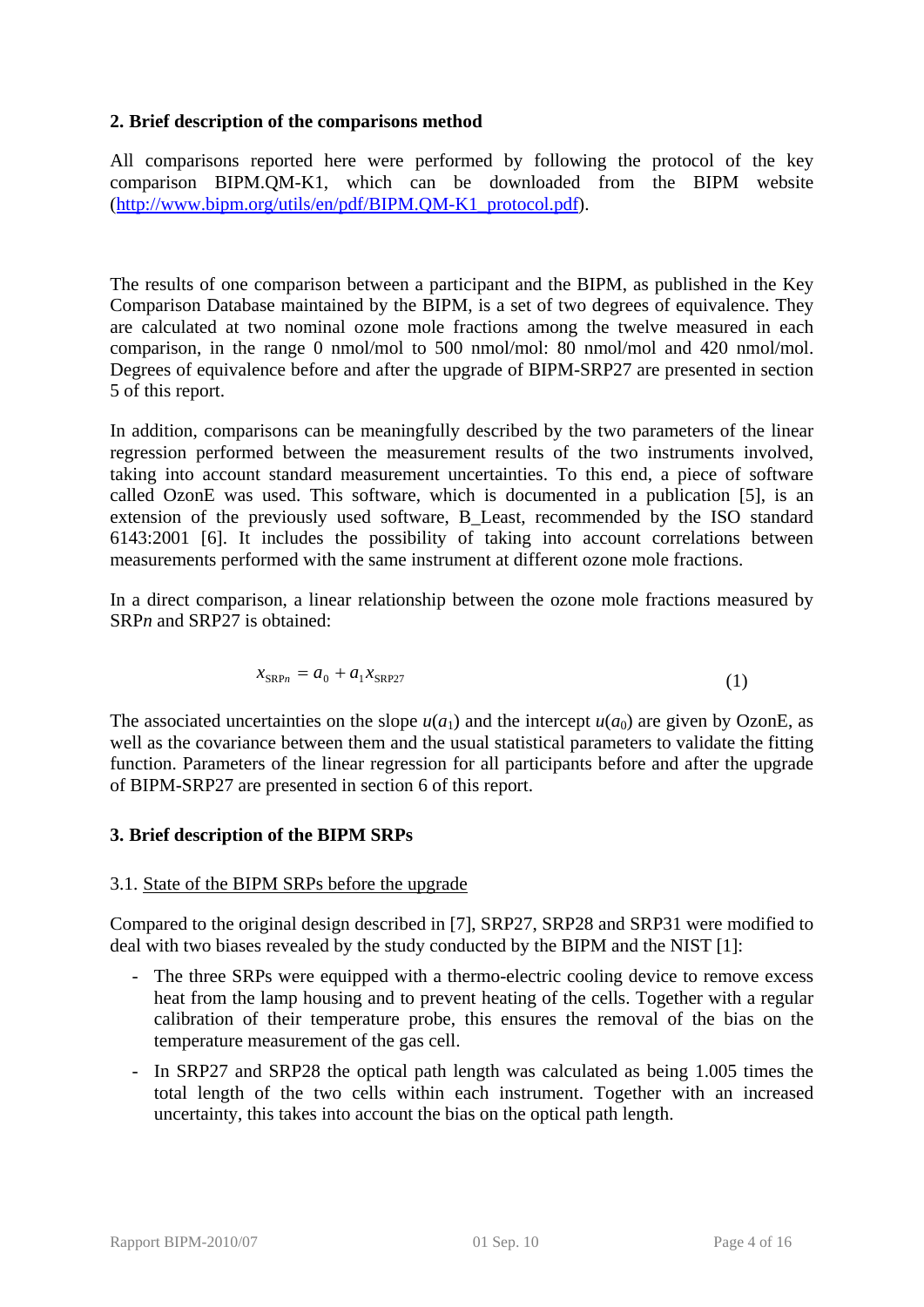# <span id="page-3-0"></span>**2. Brief description of the comparisons method**

All comparisons reported here were performed by following the protocol of the key comparison BIPM.QM-K1, which can be downloaded from the BIPM website ([http://www.bipm.org/utils/en/pdf/BIPM.QM-K1\\_protocol.pdf\)](http://www.bipm.org/utils/en/pdf/BIPM.QM-K1_protocol.pdf).

The results of one comparison between a participant and the BIPM, as published in the Key Comparison Database maintained by the BIPM, is a set of two degrees of equivalence. They are calculated at two nominal ozone mole fractions among the twelve measured in each comparison, in the range 0 nmol/mol to 500 nmol/mol: 80 nmol/mol and 420 nmol/mol. Degrees of equivalence before and after the upgrade of BIPM-SRP27 are presented in section [5](#page-7-0) of this report.

In addition, comparisons can be meaningfully described by the two parameters of the linear regression performed between the measurement results of the two instruments involved, taking into account standard measurement uncertainties. To this end, a piece of software called OzonE was used. This software, which is documented in a publication [5], is an extension of the previously used software, B\_Least, recommended by the ISO standard 6143:2001 [6]. It includes the possibility of taking into account correlations between measurements performed with the same instrument at different ozone mole fractions.

In a direct comparison, a linear relationship between the ozone mole fractions measured by SRP<sub>n</sub> and SRP<sub>27</sub> is obtained:

$$
x_{\text{SRP}n} = a_0 + a_1 x_{\text{SRP}27}
$$
 (1)

The associated uncertainties on the slope  $u(a_1)$  and the intercept  $u(a_0)$  are given by OzonE, as well as the covariance between them and the usual statistical parameters to validate the fitting function. Parameters of the linear regression for all participants before and after the upgrade of BIPM-SRP27 are presented in section [6](#page-11-0) of this report.

## <span id="page-3-1"></span>**3. Brief description of the BIPM SRPs**

## 3.1. State of the BIPM SRPs before the upgrade

Compared to the original design described in [7], SRP27, SRP28 and SRP31 were modified to deal with two biases revealed by the study conducted by the BIPM and the NIST [1]:

- The three SRPs were equipped with a thermo-electric cooling device to remove excess heat from the lamp housing and to prevent heating of the cells. Together with a regular calibration of their temperature probe, this ensures the removal of the bias on the temperature measurement of the gas cell.
- In SRP27 and SRP28 the optical path length was calculated as being 1.005 times the total length of the two cells within each instrument. Together with an increased uncertainty, this takes into account the bias on the optical path length.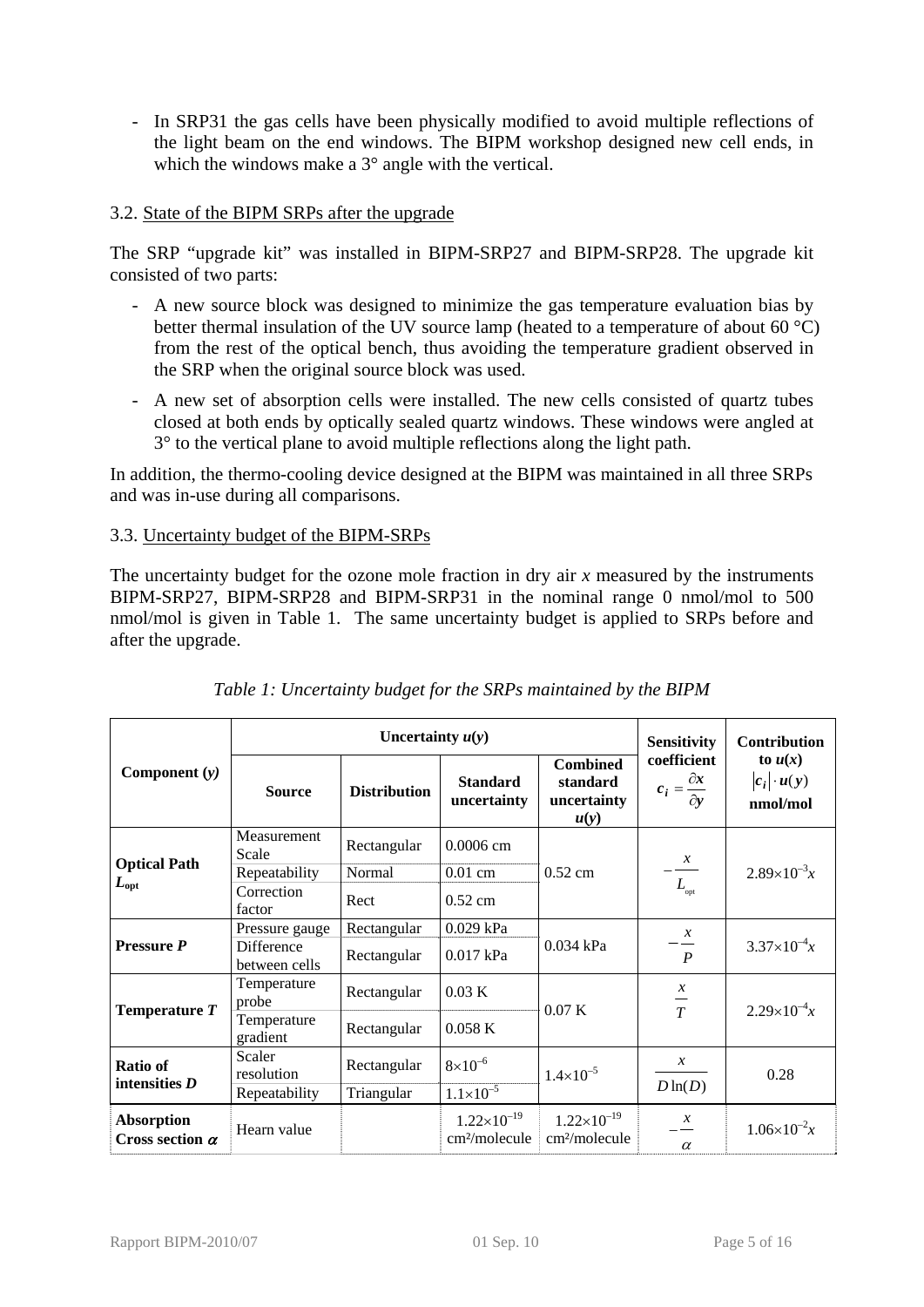- In SRP31 the gas cells have been physically modified to avoid multiple reflections of the light beam on the end windows. The BIPM workshop designed new cell ends, in which the windows make a 3<sup>°</sup> angle with the vertical.

## 3.2. State of the BIPM SRPs after the upgrade

The SRP "upgrade kit" was installed in BIPM-SRP27 and BIPM-SRP28. The upgrade kit consisted of two parts:

- A new source block was designed to minimize the gas temperature evaluation bias by better thermal insulation of the UV source lamp (heated to a temperature of about 60 °C) from the rest of the optical bench, thus avoiding the temperature gradient observed in the SRP when the original source block was used.
- A new set of absorption cells were installed. The new cells consisted of quartz tubes closed at both ends by optically sealed quartz windows. These windows were angled at 3° to the vertical plane to avoid multiple reflections along the light path.

In addition, the thermo-cooling device designed at the BIPM was maintained in all three SRPs and was in-use during all comparisons.

## 3.3. Uncertainty budget of the BIPM-SRPs

The uncertainty budget for the ozone mole fraction in dry air *x* measured by the instruments BIPM-SRP27, BIPM-SRP28 and BIPM-SRP31 in the nominal range 0 nmol/mol to 500 nmol/mol is given in [Table 1.](#page-4-0) The same uncertainty budget is applied to SRPs before and after the upgrade.

<span id="page-4-0"></span>

|                                             |                             | Uncertainty $u(y)$  |                                                   | <b>Sensitivity</b>                                 | Contribution                                         |                                             |
|---------------------------------------------|-----------------------------|---------------------|---------------------------------------------------|----------------------------------------------------|------------------------------------------------------|---------------------------------------------|
| Component $(y)$                             | <b>Source</b>               | <b>Distribution</b> | <b>Standard</b><br>uncertainty                    | <b>Combined</b><br>standard<br>uncertainty<br>u(y) | coefficient<br>$c_i = \frac{\partial x}{\partial y}$ | to $u(x)$<br>$ c_i  \cdot u(y)$<br>nmol/mol |
|                                             | Measurement<br>Scale        | Rectangular         | 0.0006 cm                                         |                                                    | $\mathcal{X}$                                        |                                             |
| <b>Optical Path</b>                         | Repeatability               | Normal              | $0.01$ cm                                         | $0.52$ cm                                          |                                                      | $2.89\times10^{-3}x$                        |
| $L_{\rm opt}$                               | Correction<br>factor        | Rect                | $0.52$ cm                                         |                                                    | $L_{\text{opt}}$                                     |                                             |
|                                             | Pressure gauge              | Rectangular         | 0.029 kPa                                         |                                                    | $\mathcal{X}$                                        |                                             |
| <b>Pressure P</b>                           | Difference<br>between cells | Rectangular         | 0.017 kPa                                         | $0.034$ kPa                                        | $\overline{P}$                                       | $3.37\times10^{-4}x$                        |
| Temperature $T$                             | Temperature<br>probe        | Rectangular         | 0.03 K                                            | 0.07K                                              | $\boldsymbol{\chi}$<br>$\frac{1}{T}$                 | $2.29\times10^{-4}x$                        |
|                                             | Temperature<br>gradient     | Rectangular         | 0.058K                                            |                                                    |                                                      |                                             |
| <b>Ratio of</b><br>intensities $D$          | Scaler<br>resolution        | Rectangular         | $8\times10^{-6}$                                  | $1.4 \times 10^{-5}$                               | $\mathcal{X}$                                        | 0.28                                        |
|                                             | Repeatability               | Triangular          | $1.1 \times 10^{-5}$                              |                                                    | $D\ln(D)$                                            |                                             |
| <b>Absorption</b><br>Cross section $\alpha$ | Hearn value                 |                     | $1.22\times10^{-19}$<br>cm <sup>2</sup> /molecule | $1.22\times10^{-19}$<br>cm <sup>2</sup> /molecule  | $\mathcal{X}$<br>$\alpha$                            | $1.06\times10^{-2}x$                        |

|  |  | Table 1: Uncertainty budget for the SRPs maintained by the BIPM |
|--|--|-----------------------------------------------------------------|
|  |  |                                                                 |
|  |  |                                                                 |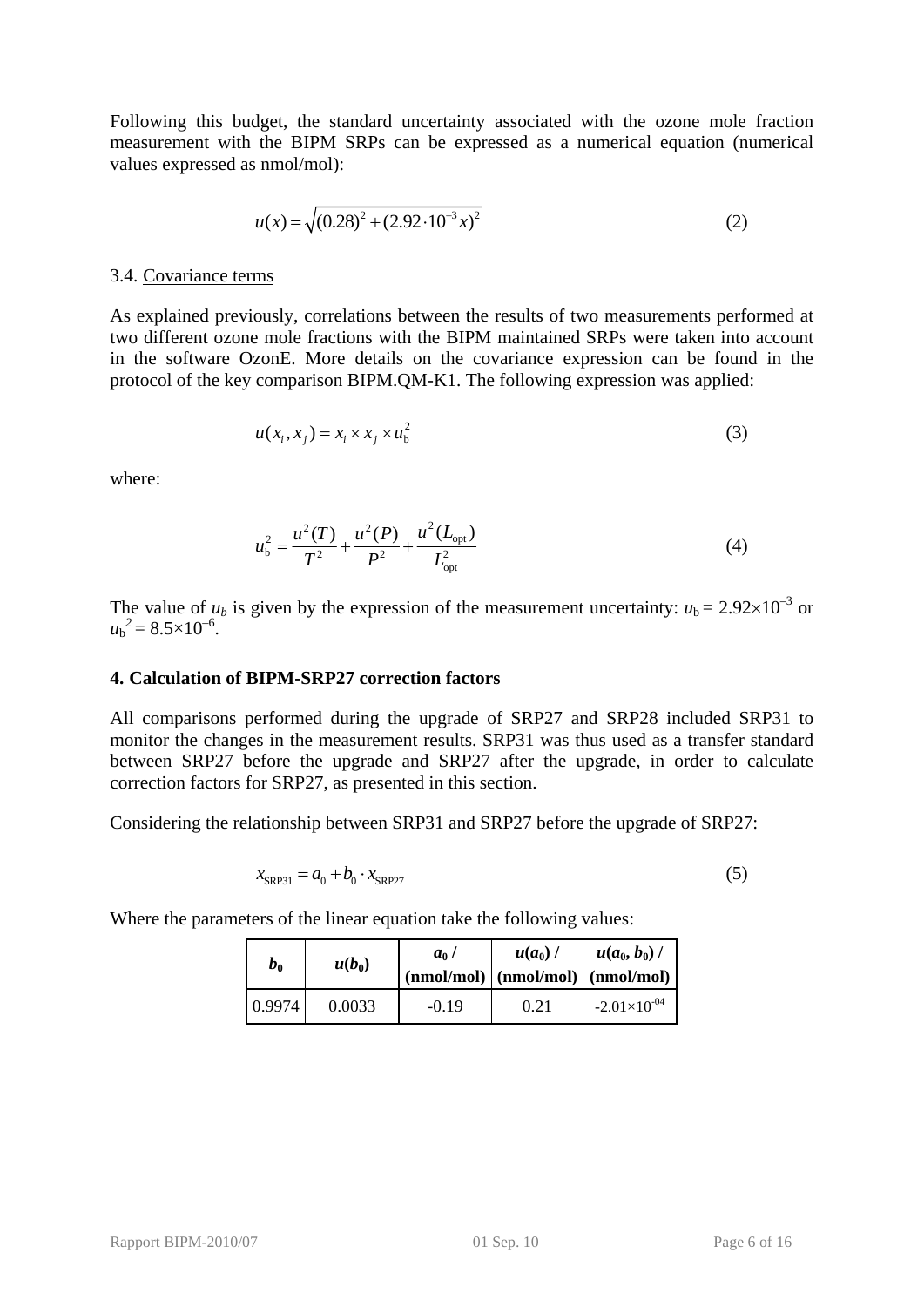Following this budget, the standard uncertainty associated with the ozone mole fraction measurement with the BIPM SRPs can be expressed as a numerical equation (numerical values expressed as nmol/mol):

$$
u(x) = \sqrt{(0.28)^2 + (2.92 \cdot 10^{-3} x)^2}
$$
 (2)

#### 3.4. Covariance terms

As explained previously, correlations between the results of two measurements performed at two different ozone mole fractions with the BIPM maintained SRPs were taken into account in the software OzonE. More details on the covariance expression can be found in the protocol of the key comparison BIPM.QM-K1. The following expression was applied:

$$
u(x_i, x_j) = x_i \times x_j \times u_b^2 \tag{3}
$$

where:

$$
u_{\rm b}^2 = \frac{u^2(T)}{T^2} + \frac{u^2(P)}{P^2} + \frac{u^2(L_{\rm opt})}{L_{\rm opt}^2}
$$
 (4)

The value of  $u_b$  is given by the expression of the measurement uncertainty:  $u_b = 2.92 \times 10^{-3}$  or  $u_{\rm b}{}^2 = 8.5 \times 10^{-6}$ .

### <span id="page-5-0"></span>**4. Calculation of BIPM-SRP27 correction factors**

All comparisons performed during the upgrade of SRP27 and SRP28 included SRP31 to monitor the changes in the measurement results. SRP31 was thus used as a transfer standard between SRP27 before the upgrade and SRP27 after the upgrade, in order to calculate correction factors for SRP27, as presented in this section.

Considering the relationship between SRP31 and SRP27 before the upgrade of SRP27:

$$
x_{\text{SRP31}} = a_0 + b_0 \cdot x_{\text{SRP27}} \tag{5}
$$

Where the parameters of the linear equation take the following values:

| $b_0$  | $u(b_0)$ | $a_0$ /<br>$(\text{nmol/mol})   (\text{nmol/mol})   (\text{nmol/mol})$ | $u(a_0)$ / | $u(a_0, b_0)$ /       |
|--------|----------|------------------------------------------------------------------------|------------|-----------------------|
| 0.9974 | 0.0033   | $-0.19$                                                                | 0.21       | $-2.01\times10^{-04}$ |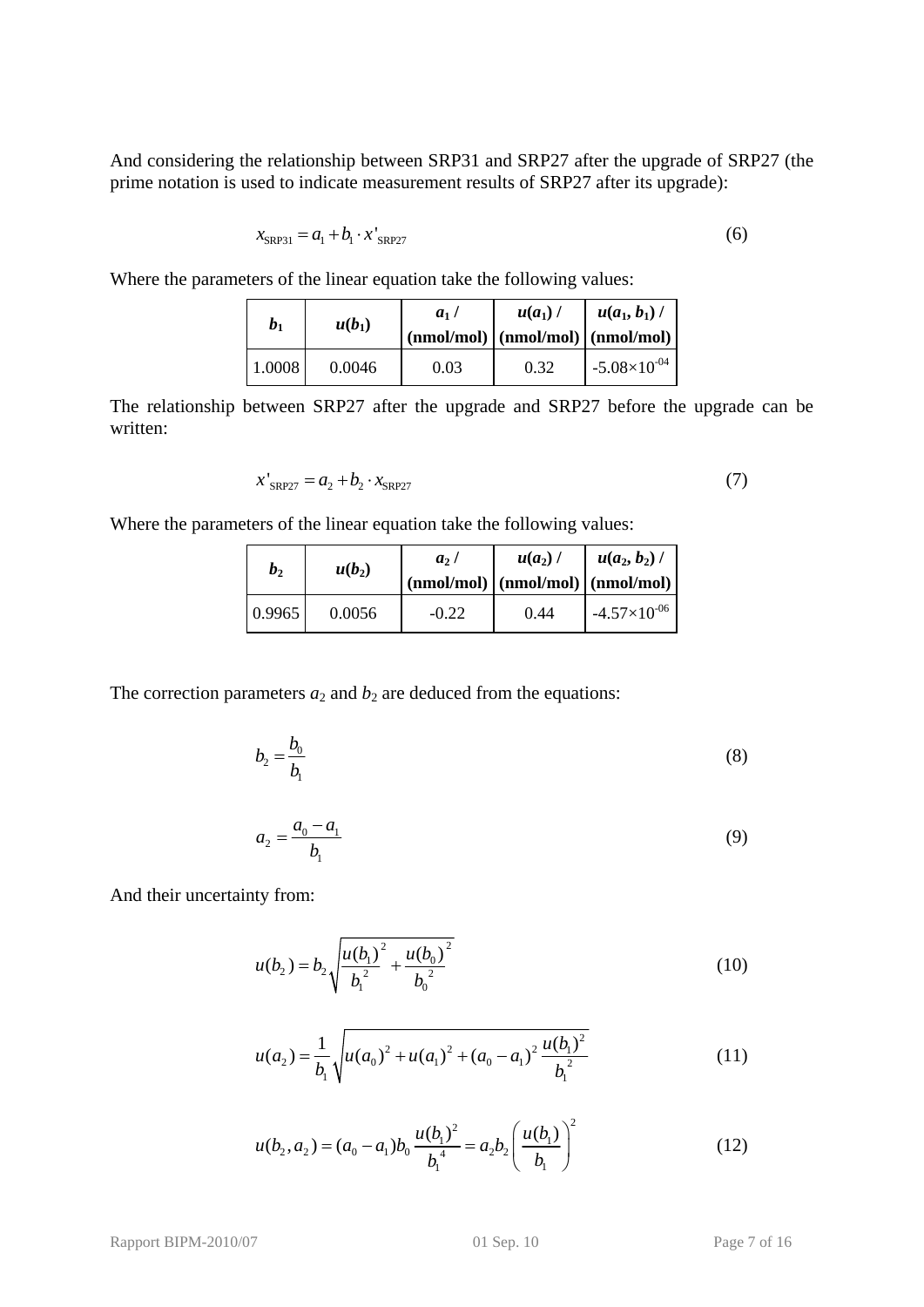And considering the relationship between SRP31 and SRP27 after the upgrade of SRP27 (the prime notation is used to indicate measurement results of SRP27 after its upgrade):

$$
x_{\text{SRP31}} = a_1 + b_1 \cdot x_{\text{SRP27}}' \tag{6}
$$

Where the parameters of the linear equation take the following values:

| b <sub>1</sub> | $u(b_1)$ | a <sub>1</sub><br>$(\text{nmol/mol})$ $(\text{nmol/mol})$ $(\text{nmol/mol})$ | $u(a_1)$ | $u(a_1, b_1)$         |
|----------------|----------|-------------------------------------------------------------------------------|----------|-----------------------|
| 1.0008         | 0.0046   | 0.03                                                                          | 0.32     | $-5.08\times10^{-04}$ |

The relationship between SRP27 after the upgrade and SRP27 before the upgrade can be written:

$$
x'_{SRP27} = a_2 + b_2 \cdot x_{SRP27}
$$
 (7)

Where the parameters of the linear equation take the following values:

| b <sub>2</sub> | $u(b_2)$ | a <sub>2</sub> | $u(a_2)$ / | $u(a_2, b_2)$ /<br>$(\text{nmol/mol})   (\text{nmol/mol})   (\text{nmol/mol})  $ |
|----------------|----------|----------------|------------|----------------------------------------------------------------------------------|
| 0.9965         | 0.0056   | $-0.22$        | 0.44       | $-4.57\times10^{-06}$                                                            |

The correction parameters  $a_2$  and  $b_2$  are deduced from the equations:

$$
b_2 = \frac{b_0}{b_1} \tag{8}
$$

$$
a_2 = \frac{a_0 - a_1}{b_1} \tag{9}
$$

And their uncertainty from:

$$
u(b_2) = b_2 \sqrt{\frac{u(b_1)^2}{b_1^2} + \frac{u(b_0)^2}{b_0^2}}
$$
 (10)

$$
u(a_2) = \frac{1}{b_1} \sqrt{u(a_0)^2 + u(a_1)^2 + (a_0 - a_1)^2 \frac{u(b_1)^2}{b_1^2}}
$$
 (11)

$$
u(b_2, a_2) = (a_0 - a_1)b_0 \frac{u(b_1)^2}{b_1^4} = a_2b_2 \left(\frac{u(b_1)}{b_1}\right)^2
$$
 (12)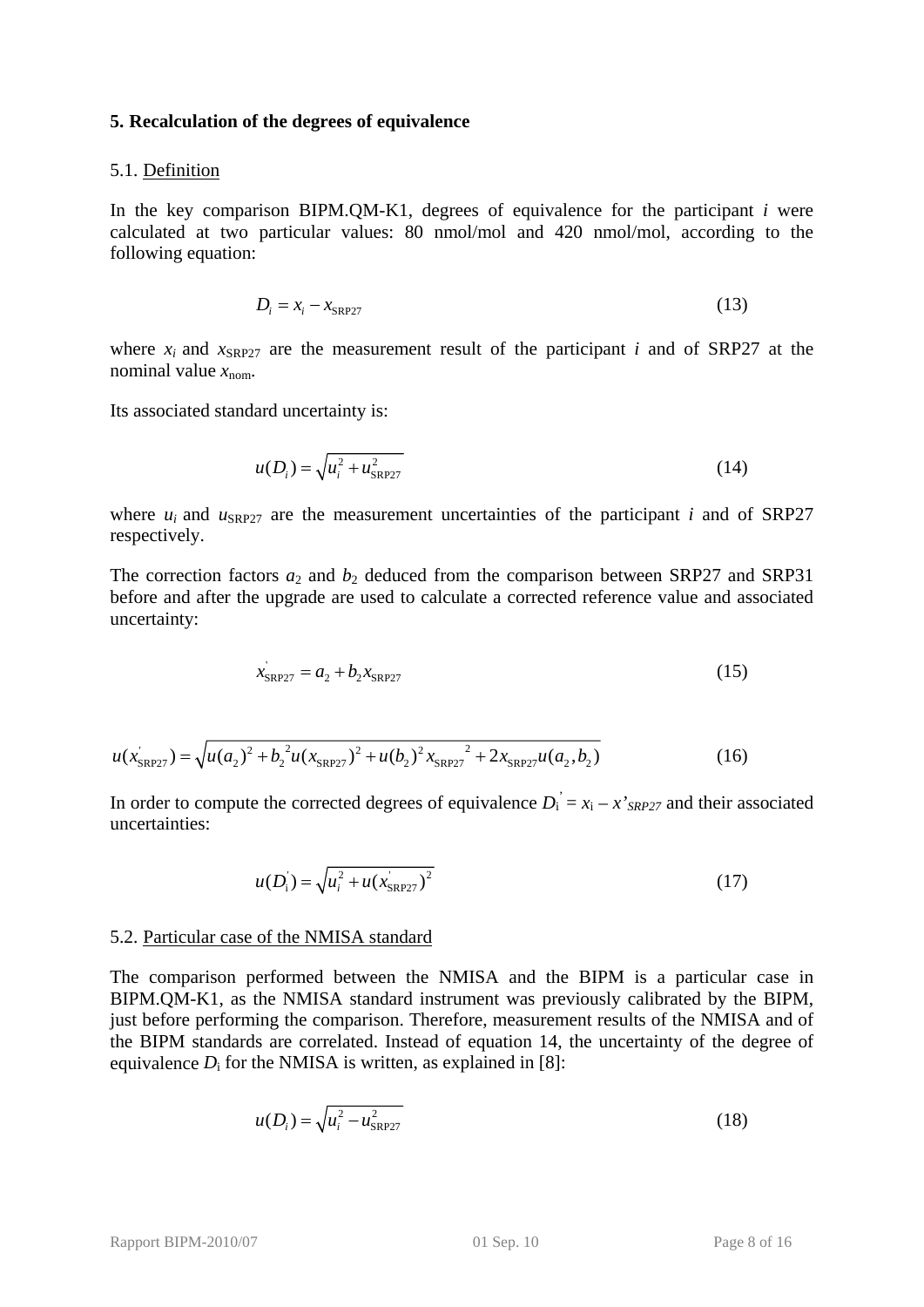#### <span id="page-7-0"></span>**5. Recalculation of the degrees of equivalence**

#### 5.1. Definition

In the key comparison BIPM.QM-K1, degrees of equivalence for the participant *i* were calculated at two particular values: 80 nmol/mol and 420 nmol/mol, according to the following equation:

$$
D_i = x_i - x_{\text{SRP27}} \tag{13}
$$

where  $x_i$  and  $x_{SRP27}$  are the measurement result of the participant *i* and of SRP27 at the nominal value  $x_{\text{nom}}$ .

Its associated standard uncertainty is:

$$
u(D_i) = \sqrt{u_i^2 + u_{SRP27}^2}
$$
 (14)

where  $u_i$  and  $u_{\text{SRP27}}$  are the measurement uncertainties of the participant *i* and of SRP27 respectively.

The correction factors  $a_2$  and  $b_2$  deduced from the comparison between SRP27 and SRP31 before and after the upgrade are used to calculate a corrected reference value and associated uncertainty:

$$
x'_{\rm SRP27} = a_2 + b_2 x_{\rm SRP27} \tag{15}
$$

$$
u(x_{SRP27}) = \sqrt{u(a_2)^2 + b_2^2 u(x_{SRP27})^2 + u(b_2)^2 x_{SRP27}^2 + 2x_{SRP27} u(a_2, b_2)}
$$
(16)

In order to compute the corrected degrees of equivalence  $D_i = x_i - x'_{SRP27}$  and their associated uncertainties:

$$
u(D_i) = \sqrt{u_i^2 + u(x_{SRP27})^2}
$$
 (17)

#### 5.2. Particular case of the NMISA standard

The comparison performed between the NMISA and the BIPM is a particular case in BIPM.QM-K1, as the NMISA standard instrument was previously calibrated by the BIPM, just before performing the comparison. Therefore, measurement results of the NMISA and of the BIPM standards are correlated. Instead of equation 14, the uncertainty of the degree of equivalence  $D_i$  for the NMISA is written, as explained in [8]:

$$
u(D_i) = \sqrt{u_i^2 - u_{SRP27}^2}
$$
 (18)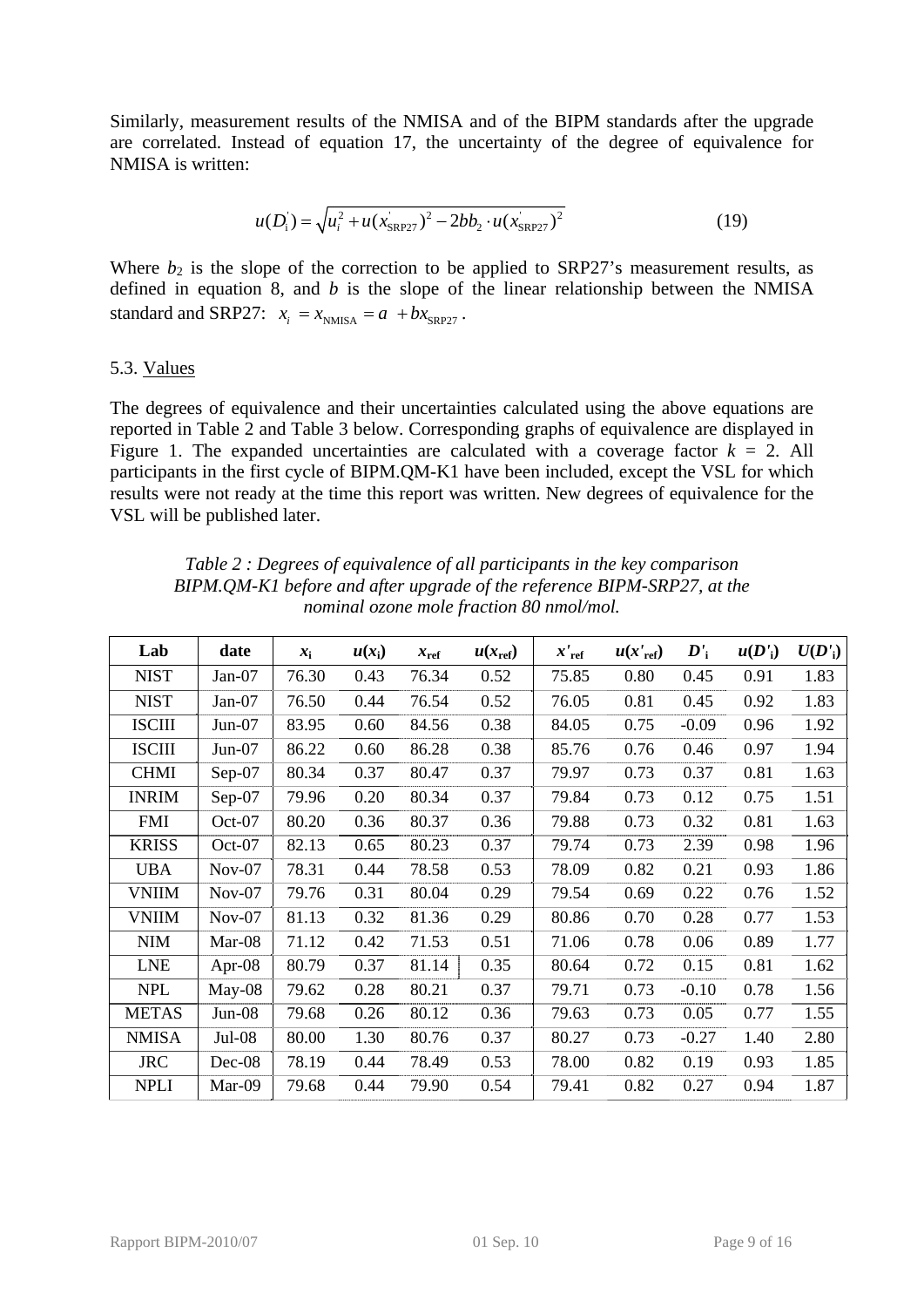Similarly, measurement results of the NMISA and of the BIPM standards after the upgrade are correlated. Instead of equation 17, the uncertainty of the degree of equivalence for NMISA is written:

$$
u(D_i) = \sqrt{u_i^2 + u(x_{SRP27})^2 - 2bb_2 \cdot u(x_{SRP27})^2}
$$
 (19)

Where  $b_2$  is the slope of the correction to be applied to SRP27's measurement results, as defined in equation 8, and *b* is the slope of the linear relationship between the NMISA standard and SRP27:  $x_i = x_{NMSA} = a + bx_{SRP27}$ .

### 5.3. Values

The degrees of equivalence and their uncertainties calculated using the above equations are reported in [Table 2](#page-8-0) and [Table 3](#page-9-0) below. Corresponding graphs of equivalence are displayed in [Figure 1.](#page-10-0) The expanded uncertainties are calculated with a coverage factor  $k = 2$ . All participants in the first cycle of BIPM.QM-K1 have been included, except the VSL for which results were not ready at the time this report was written. New degrees of equivalence for the VSL will be published later.

*Table 2 : Degrees of equivalence of all participants in the key comparison BIPM.QM-K1 before and after upgrade of the reference BIPM-SRP27, at the nominal ozone mole fraction 80 nmol/mol.* 

<span id="page-8-0"></span>

| Lab              | date     | $x_i$ | $u(x_i)$ | $x_{\text{ref}}$ | $u(x_{\text{ref}})$ | $x_{ref}$ | $u(x'_{ref})$ | $\boldsymbol{D'}_{\text{i}}$ | $u(D'_i)$ | U(D') |
|------------------|----------|-------|----------|------------------|---------------------|-----------|---------------|------------------------------|-----------|-------|
| <b>NIST</b>      | $Jan-07$ | 76.30 | 0.43     | 76.34            | 0.52                | 75.85     | 0.80          | 0.45                         | 0.91      | 1.83  |
| <b>NIST</b>      | $Jan-07$ | 76.50 | 0.44     | 76.54            | 0.52                | 76.05     | 0.81          | 0.45                         | 0.92      | 1.83  |
| <b>ISCIII</b>    | $Jun-07$ | 83.95 | 0.60     | 84.56            | 0.38                | 84.05     | 0.75          | $-0.09$                      | 0.96      | 1.92  |
| <b>ISCIII</b>    | $Jun-07$ | 86.22 | 0.60     | 86.28            | 0.38                | 85.76     | 0.76          | 0.46                         | 0.97      | 1.94  |
| <b>CHMI</b>      | Sep-07   | 80.34 | 0.37     | 80.47            | 0.37                | 79.97     | 0.73          | 0.37                         | 0.81      | 1.63  |
| <b>INRIM</b>     | $Sep-07$ | 79.96 | 0.20     | 80.34            | 0.37                | 79.84     | 0.73          | 0.12                         | 0.75      | 1.51  |
| <b>FMI</b>       | Oct-07   | 80.20 | 0.36     | 80.37            | 0.36                | 79.88     | 0.73          | 0.32                         | 0.81      | 1.63  |
| <b>KRISS</b>     | Oct-07   | 82.13 | 0.65     | 80.23            | 0.37                | 79.74     | 0.73          | 2.39                         | 0.98      | 1.96  |
| <b>UBA</b>       | $Nov-07$ | 78.31 | 0.44     | 78.58            | 0.53                | 78.09     | 0.82          | 0.21                         | 0.93      | 1.86  |
| <b>VNIIM</b>     | $Nov-07$ | 79.76 | 0.31     | 80.04            | 0.29                | 79.54     | 0.69          | 0.22                         | 0.76      | 1.52  |
| <b>VNIIM</b>     | $Nov-07$ | 81.13 | 0.32     | 81.36            | 0.29                | 80.86     | 0.70          | 0.28                         | 0.77      | 1.53  |
| $\textbf{NIM}{}$ | Mar-08   | 71.12 | 0.42     | 71.53            | 0.51                | 71.06     | 0.78          | 0.06                         | 0.89      | 1.77  |
| <b>LNE</b>       | Apr-08   | 80.79 | 0.37     | 81.14            | 0.35                | 80.64     | 0.72          | 0.15                         | 0.81      | 1.62  |
| <b>NPL</b>       | $May-08$ | 79.62 | 0.28     | 80.21            | 0.37                | 79.71     | 0.73          | $-0.10$                      | 0.78      | 1.56  |
| <b>METAS</b>     | $Jun-08$ | 79.68 | 0.26     | 80.12            | 0.36                | 79.63     | 0.73          | 0.05                         | 0.77      | 1.55  |
| <b>NMISA</b>     | Jul-08   | 80.00 | 1.30     | 80.76            | 0.37                | 80.27     | 0.73          | $-0.27$                      | 1.40      | 2.80  |
| <b>JRC</b>       | $Dec-08$ | 78.19 | 0.44     | 78.49            | 0.53                | 78.00     | 0.82          | 0.19                         | 0.93      | 1.85  |
| <b>NPLI</b>      | Mar-09   | 79.68 | 0.44     | 79.90            | 0.54                | 79.41     | 0.82          | 0.27                         | 0.94      | 1.87  |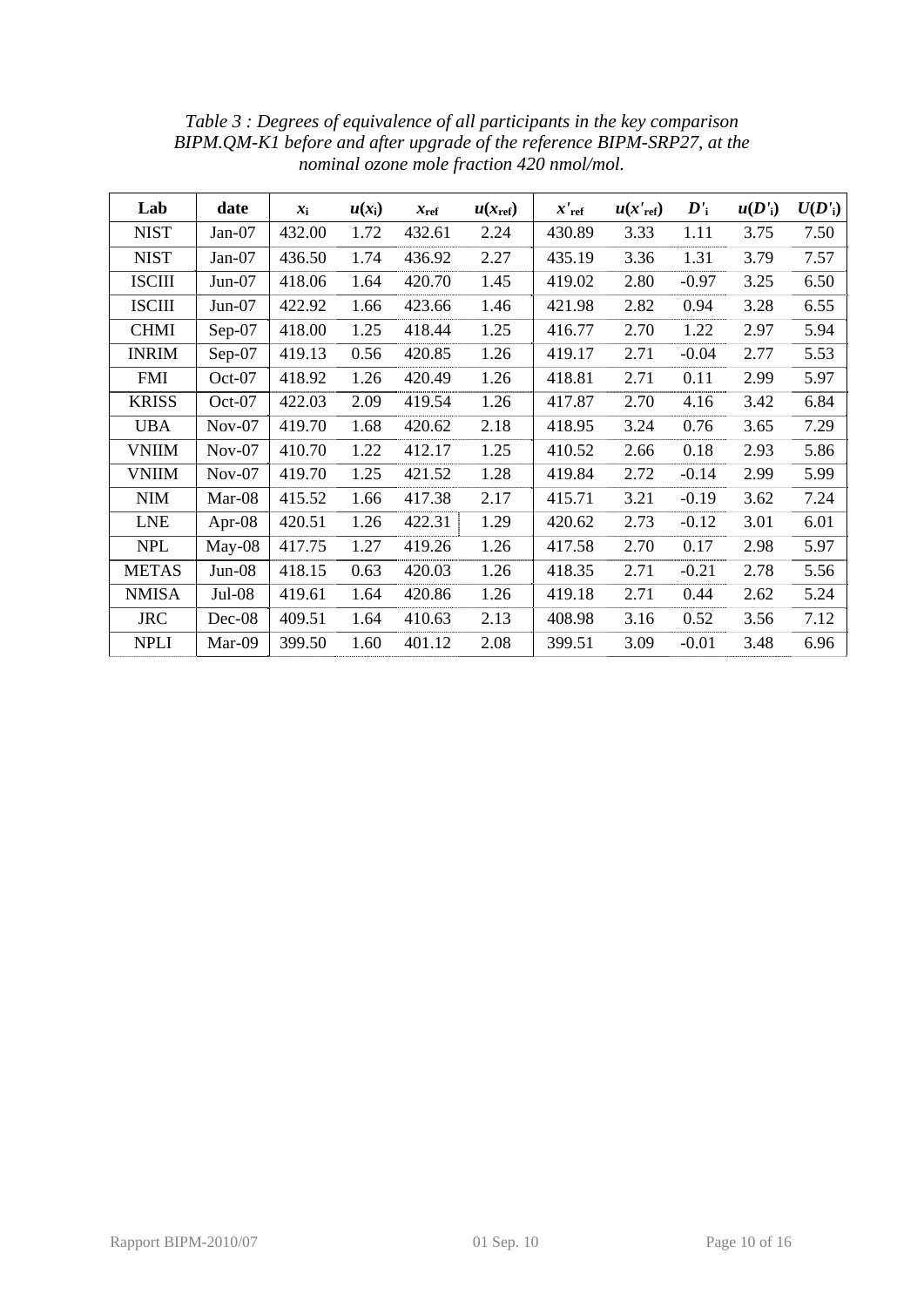<span id="page-9-0"></span>

| Lab           | date      | $x_i$  | $u(x_i)$ | $x_{\text{ref}}$ | $u(x_{\text{ref}})$ | $x_{ref}'$ | $u(x'_{ref})$ | $\boldsymbol{D'}_{\mathbf{i}}$ | u(D') | U(D') |
|---------------|-----------|--------|----------|------------------|---------------------|------------|---------------|--------------------------------|-------|-------|
| <b>NIST</b>   | $Jan-07$  | 432.00 | 1.72     | 432.61           | 2.24                | 430.89     | 3.33          | 1.11                           | 3.75  | 7.50  |
| <b>NIST</b>   | Jan-07    | 436.50 | 1.74     | 436.92           | 2.27                | 435.19     | 3.36          | 1.31                           | 3.79  | 7.57  |
| <b>ISCIII</b> | $Jun-07$  | 418.06 | 1.64     | 420.70           | 1.45                | 419.02     | 2.80          | $-0.97$                        | 3.25  | 6.50  |
| <b>ISCIII</b> | $Jun-07$  | 422.92 | 1.66     | 423.66           | 1.46                | 421.98     | 2.82          | 0.94                           | 3.28  | 6.55  |
| <b>CHMI</b>   | $Sep-07$  | 418.00 | 1.25     | 418.44           | 1.25                | 416.77     | 2.70          | 1.22                           | 2.97  | 5.94  |
| <b>INRIM</b>  | Sep-07    | 419.13 | 0.56     | 420.85           | 1.26                | 419.17     | 2.71          | $-0.04$                        | 2.77  | 5.53  |
| <b>FMI</b>    | Oct-07    | 418.92 | 1.26     | 420.49           | 1.26                | 418.81     | 2.71          | 0.11                           | 2.99  | 5.97  |
| <b>KRISS</b>  | Oct-07    | 422.03 | 2.09     | 419.54           | 1.26                | 417.87     | 2.70          | 4.16                           | 3.42  | 6.84  |
| <b>UBA</b>    | $Nov-07$  | 419.70 | 1.68     | 420.62           | 2.18                | 418.95     | 3.24          | 0.76                           | 3.65  | 7.29  |
| <b>VNIIM</b>  | $Nov-07$  | 410.70 | 1.22     | 412.17           | 1.25                | 410.52     | 2.66          | 0.18                           | 2.93  | 5.86  |
| <b>VNIIM</b>  | $Nov-07$  | 419.70 | 1.25     | 421.52           | 1.28                | 419.84     | 2.72          | $-0.14$                        | 2.99  | 5.99  |
| <b>NIM</b>    | Mar-08    | 415.52 | 1.66     | 417.38           | 2.17                | 415.71     | 3.21          | $-0.19$                        | 3.62  | 7.24  |
| <b>LNE</b>    | Apr- $08$ | 420.51 | 1.26     | 422.31           | 1.29                | 420.62     | 2.73          | $-0.12$                        | 3.01  | 6.01  |
| <b>NPL</b>    | $May-08$  | 417.75 | 1.27     | 419.26           | 1.26                | 417.58     | 2.70          | 0.17                           | 2.98  | 5.97  |
| <b>METAS</b>  | $Jun-08$  | 418.15 | 0.63     | 420.03           | 1.26                | 418.35     | 2.71          | $-0.21$                        | 2.78  | 5.56  |
| <b>NMISA</b>  | $Jul-08$  | 419.61 | 1.64     | 420.86           | 1.26                | 419.18     | 2.71          | 0.44                           | 2.62  | 5.24  |
| <b>JRC</b>    | Dec-08    | 409.51 | 1.64     | 410.63           | 2.13                | 408.98     | 3.16          | 0.52                           | 3.56  | 7.12  |
| <b>NPLI</b>   | Mar-09    | 399.50 | 1.60     | 401.12           | 2.08                | 399.51     | 3.09          | $-0.01$                        | 3.48  | 6.96  |

*Table 3 : Degrees of equivalence of all participants in the key comparison BIPM.QM-K1 before and after upgrade of the reference BIPM-SRP27, at the nominal ozone mole fraction 420 nmol/mol.*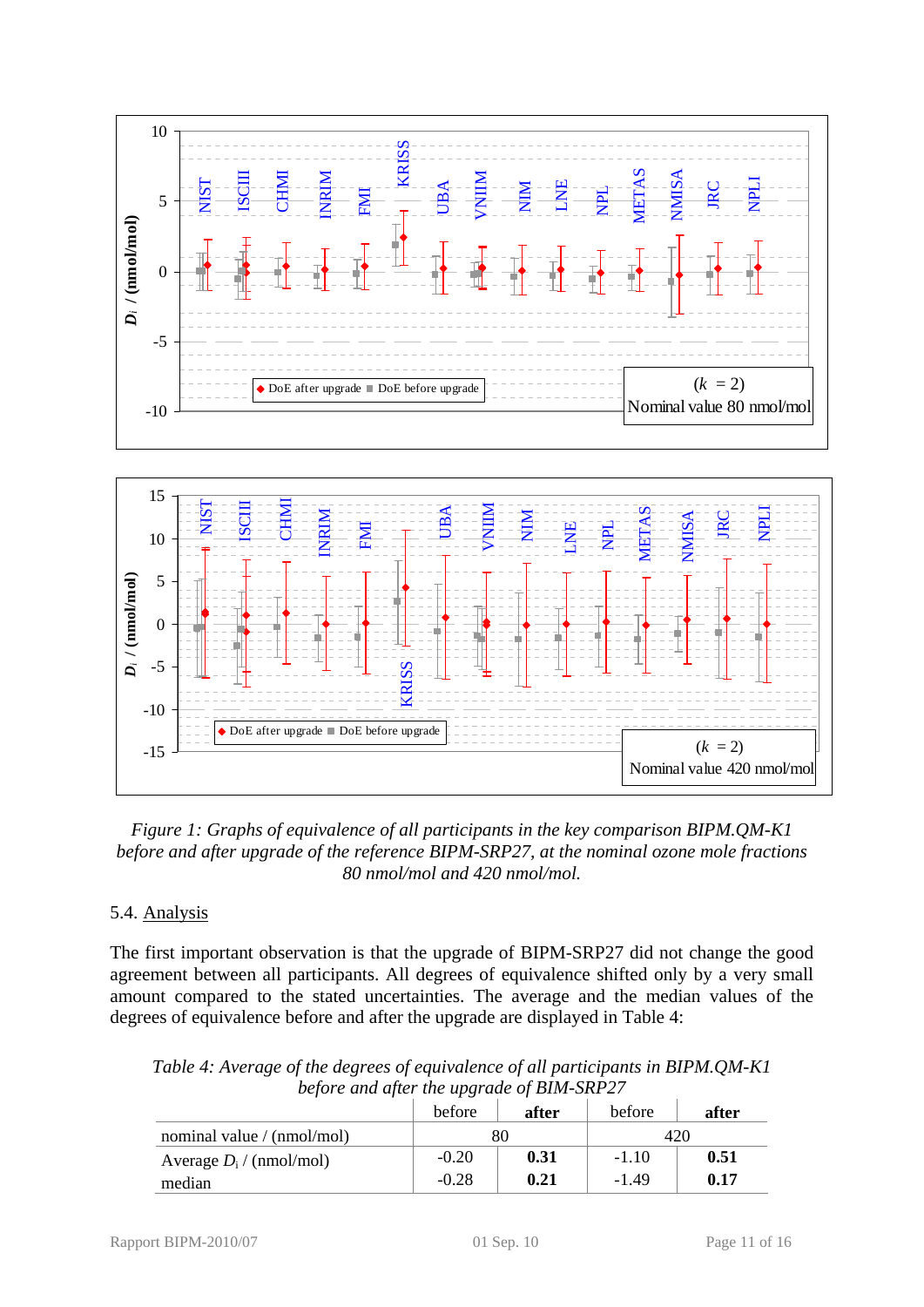



<span id="page-10-0"></span>*Figure 1: Graphs of equivalence of all participants in the key comparison BIPM.QM-K1 before and after upgrade of the reference BIPM-SRP27, at the nominal ozone mole fractions 80 nmol/mol and 420 nmol/mol.* 

# 5.4. Analysis

The first important observation is that the upgrade of BIPM-SRP27 did not change the good agreement between all participants. All degrees of equivalence shifted only by a very small amount compared to the stated uncertainties. The average and the median values of the degrees of equivalence before and after the upgrade are displayed in Table 4:

*Table 4: Average of the degrees of equivalence of all participants in BIPM.QM-K1 before and after the upgrade of BIM-SRP27* 

|                            | before  | after | before  | after |  |
|----------------------------|---------|-------|---------|-------|--|
| nominal value / (nmol/mol) |         | 80    |         |       |  |
| Average $D_i$ / (nmol/mol) | $-0.20$ | 0.31  | $-1.10$ | 0.51  |  |
| median                     | $-0.28$ | 0.21  | $-1.49$ | 0.17  |  |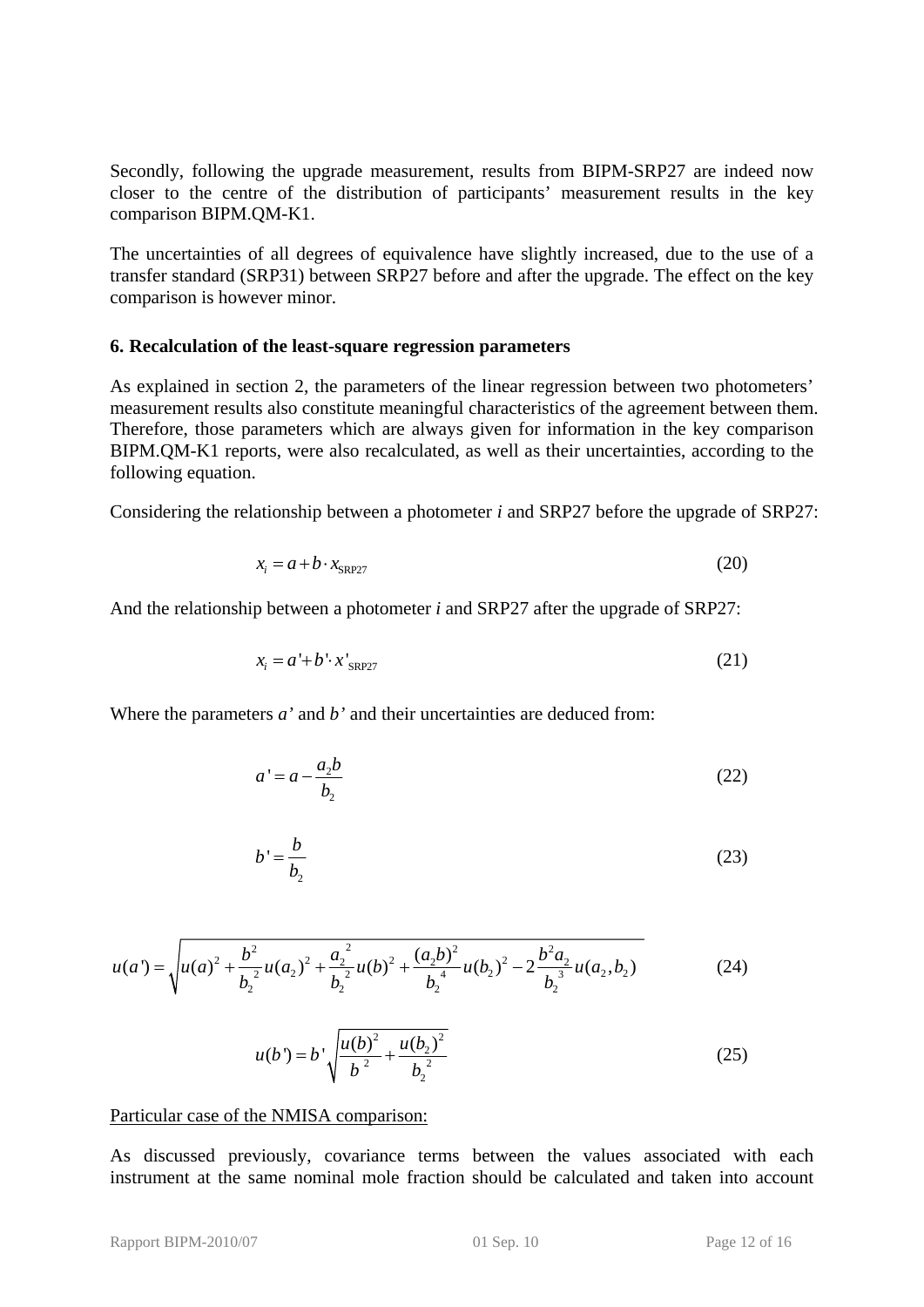Secondly, following the upgrade measurement, results from BIPM-SRP27 are indeed now closer to the centre of the distribution of participants' measurement results in the key comparison BIPM.QM-K1.

The uncertainties of all degrees of equivalence have slightly increased, due to the use of a transfer standard (SRP31) between SRP27 before and after the upgrade. The effect on the key comparison is however minor.

### <span id="page-11-0"></span>**6. Recalculation of the least-square regression parameters**

As explained in section [2,](#page-3-0) the parameters of the linear regression between two photometers' measurement results also constitute meaningful characteristics of the agreement between them. Therefore, those parameters which are always given for information in the key comparison BIPM.QM-K1 reports, were also recalculated, as well as their uncertainties, according to the following equation.

Considering the relationship between a photometer *i* and SRP27 before the upgrade of SRP27:

$$
x_i = a + b \cdot x_{SRP27} \tag{20}
$$

And the relationship between a photometer *i* and SRP27 after the upgrade of SRP27:

$$
x_i = a' + b' \cdot x'_{SRP27}
$$
 (21)

Where the parameters *a'* and *b'* and their uncertainties are deduced from:

$$
a' = a - \frac{a_2 b}{b_2} \tag{22}
$$

$$
b' = \frac{b}{b_2} \tag{23}
$$

$$
u(a') = \sqrt{u(a)^2 + \frac{b^2}{b_2^2}u(a_2)^2 + \frac{a_2^2}{b_2^2}u(b)^2 + \frac{(a_2b)^2}{b_2^4}u(b_2)^2 - 2\frac{b^2a_2}{b_2^3}u(a_2, b_2)}
$$
(24)

$$
u(b') = b' \sqrt{\frac{u(b)^2}{b^2} + \frac{u(b_2)^2}{b_2^2}}
$$
 (25)

Particular case of the NMISA comparison:

As discussed previously, covariance terms between the values associated with each instrument at the same nominal mole fraction should be calculated and taken into account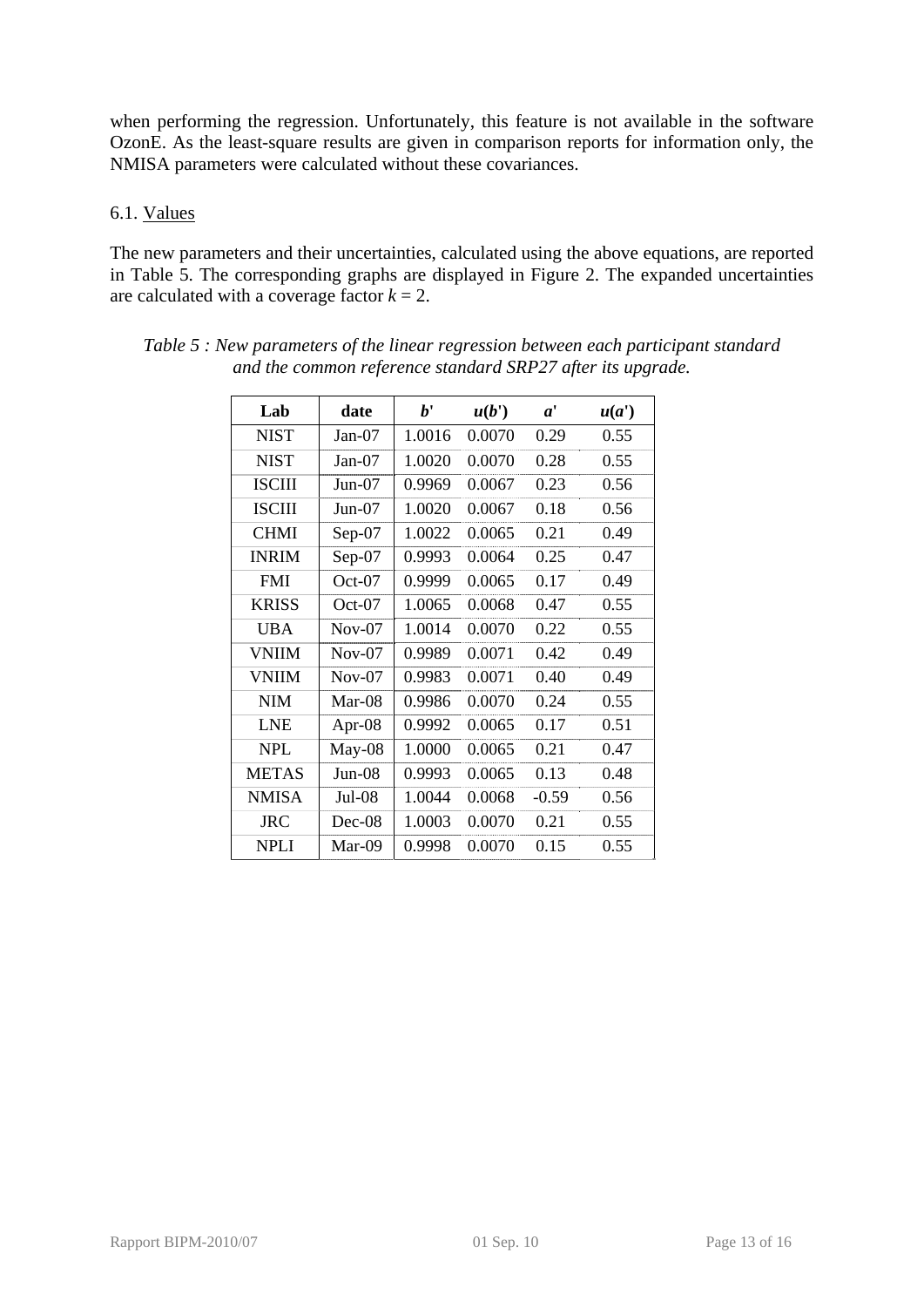when performing the regression. Unfortunately, this feature is not available in the software OzonE. As the least-square results are given in comparison reports for information only, the NMISA parameters were calculated without these covariances.

## 6.1. Values

The new parameters and their uncertainties, calculated using the above equations, are reported in [Table 5.](#page-12-0) The corresponding graphs are displayed in [Figure 2](#page-13-0). The expanded uncertainties are calculated with a coverage factor  $k = 2$ .

| Lab           | date     | b'     | u(b')  | $a^{\prime}$ | u(a') |
|---------------|----------|--------|--------|--------------|-------|
| <b>NIST</b>   | $Jan-07$ | 1.0016 | 0.0070 | 0.29         | 0.55  |
| <b>NIST</b>   | $Jan-07$ | 1.0020 | 0.0070 | 0.28         | 0.55  |
| <b>ISCIII</b> | $Jun-07$ | 0.9969 | 0.0067 | 0.23         | 0.56  |
| <b>ISCIII</b> | $Jun-07$ | 1.0020 | 0.0067 | 0.18         | 0.56  |
| <b>CHMI</b>   | Sep-07   | 1.0022 | 0.0065 | 0.21         | 0.49  |
| <b>INRIM</b>  | $Sep-07$ | 0.9993 | 0.0064 | 0.25         | 0.47  |
| <b>FMI</b>    | $Oct-07$ | 0.9999 | 0.0065 | 0.17         | 0.49  |
| <b>KRISS</b>  | $Oct-07$ | 1.0065 | 0.0068 | 0.47         | 0.55  |
| <b>UBA</b>    | $Nov-07$ | 1.0014 | 0.0070 | 0.22         | 0.55  |
| <b>VNIIM</b>  | $Nov-07$ | 0.9989 | 0.0071 | 0.42         | 0.49  |
| <b>VNIIM</b>  | $Nov-07$ | 0.9983 | 0.0071 | 0.40         | 0.49  |
| <b>NIM</b>    | $Mar-08$ | 0.9986 | 0.0070 | 0.24         | 0.55  |
| <b>LNE</b>    | Apr-08   | 0.9992 | 0.0065 | 0.17         | 0.51  |
| <b>NPL</b>    | May-08   | 1.0000 | 0.0065 | 0.21         | 0.47  |
| <b>METAS</b>  | $Jun-08$ | 0.9993 | 0.0065 | 0.13         | 0.48  |
| <b>NMISA</b>  | $Jul-08$ | 1.0044 | 0.0068 | $-0.59$      | 0.56  |
| JRC           | $Dec-08$ | 1.0003 | 0.0070 | 0.21         | 0.55  |
| <b>NPLI</b>   | Mar-09   | 0.9998 | 0.0070 | 0.15         | 0.55  |

<span id="page-12-0"></span>

| Table 5: New parameters of the linear regression between each participant standard |
|------------------------------------------------------------------------------------|
| and the common reference standard SRP27 after its upgrade.                         |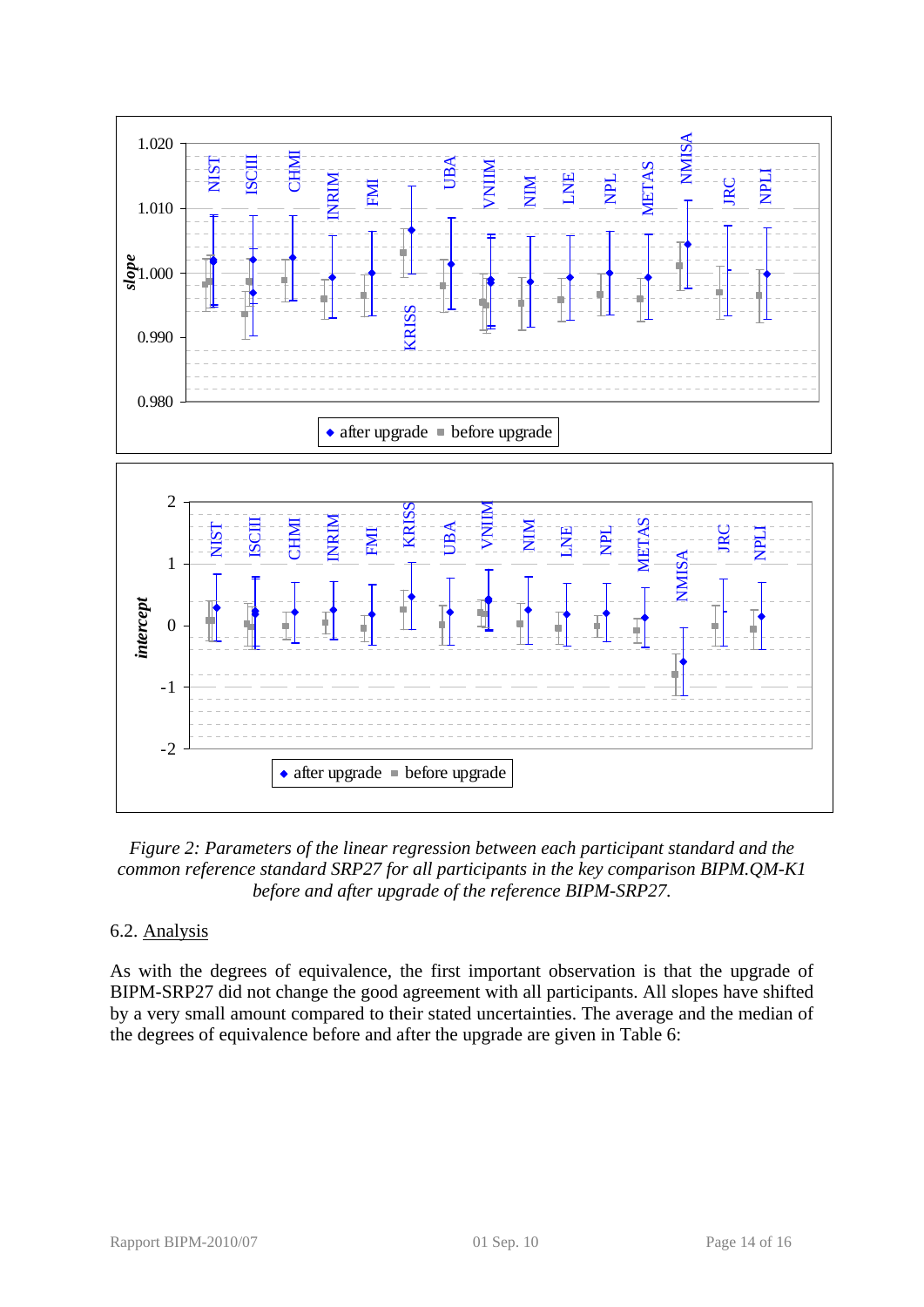

<span id="page-13-0"></span>*Figure 2: Parameters of the linear regression between each participant standard and the common reference standard SRP27 for all participants in the key comparison BIPM.QM-K1 before and after upgrade of the reference BIPM-SRP27.* 

# 6.2. Analysis

As with the degrees of equivalence, the first important observation is that the upgrade of BIPM-SRP27 did not change the good agreement with all participants. All slopes have shifted by a very small amount compared to their stated uncertainties. The average and the median of the degrees of equivalence before and after the upgrade are given in Table 6: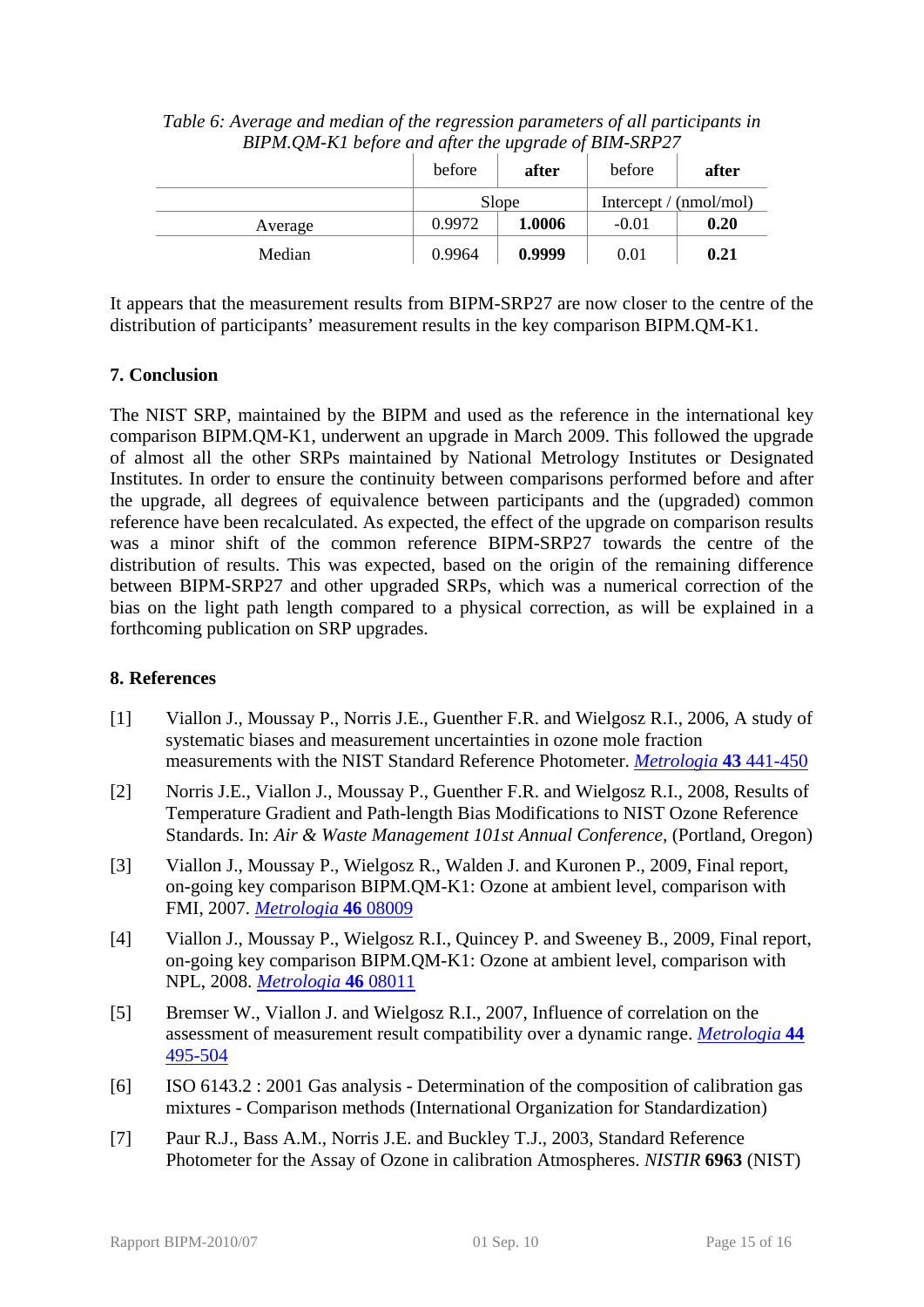|         | before | after  | before                   | after |
|---------|--------|--------|--------------------------|-------|
|         |        | Slope  | Intercept $/$ (nmol/mol) |       |
| Average | 0.9972 | 1.0006 | $-0.01$                  | 0.20  |
| Median  | 0.9964 | 0.9999 | 0.01                     | 0.21  |

*Table 6: Average and median of the regression parameters of all participants in BIPM.QM-K1 before and after the upgrade of BIM-SRP27* 

It appears that the measurement results from BIPM-SRP27 are now closer to the centre of the distribution of participants' measurement results in the key comparison BIPM.QM-K1.

# <span id="page-14-0"></span>**7. Conclusion**

The NIST SRP, maintained by the BIPM and used as the reference in the international key comparison BIPM.QM-K1, underwent an upgrade in March 2009. This followed the upgrade of almost all the other SRPs maintained by National Metrology Institutes or Designated Institutes. In order to ensure the continuity between comparisons performed before and after the upgrade, all degrees of equivalence between participants and the (upgraded) common reference have been recalculated. As expected, the effect of the upgrade on comparison results was a minor shift of the common reference BIPM-SRP27 towards the centre of the distribution of results. This was expected, based on the origin of the remaining difference between BIPM-SRP27 and other upgraded SRPs, which was a numerical correction of the bias on the light path length compared to a physical correction, as will be explained in a forthcoming publication on SRP upgrades.

## <span id="page-14-1"></span>**8. References**

- [1] Viallon J., Moussay P., Norris J.E., Guenther F.R. and Wielgosz R.I., 2006, A study of systematic biases and measurement uncertainties in ozone mole fraction measurements with the NIST Standard Reference Photometer. *[Metrologia](http://stacks.iop.org/0026-1394/43/441)* **43** 441-450
- [2] Norris J.E., Viallon J., Moussay P., Guenther F.R. and Wielgosz R.I., 2008, Results of Temperature Gradient and Path-length Bias Modifications to NIST Ozone Reference Standards. In: *Air & Waste Management 101st Annual Conference,* (Portland, Oregon)
- [3] Viallon J., Moussay P., Wielgosz R., Walden J. and Kuronen P., 2009, Final report, on-going key comparison BIPM.QM-K1: Ozone at ambient level, comparison with FMI, 2007. *[Metrologia](http://stacks.iop.org/0026-1394/46/08009)* **46** 08009
- [4] Viallon J., Moussay P., Wielgosz R.I., Quincey P. and Sweeney B., 2009, Final report, on-going key comparison BIPM.QM-K1: Ozone at ambient level, comparison with NPL, 2008. *[Metrologia](http://stacks.iop.org/0026-1394/46/08011)* **46** 08011
- [5] Bremser W., Viallon J. and Wielgosz R.I., 2007, Influence of correlation on the assessment of measurement result compatibility over a dynamic range. *[Metrologia](http://stacks.iop.org/0026-1394/44/495)* **44** [495-504](http://stacks.iop.org/0026-1394/44/495)
- [6] ISO 6143.2 : 2001 Gas analysis Determination of the composition of calibration gas mixtures - Comparison methods (International Organization for Standardization)
- [7] Paur R.J., Bass A.M., Norris J.E. and Buckley T.J., 2003, Standard Reference Photometer for the Assay of Ozone in calibration Atmospheres. *NISTIR* **6963** (NIST)